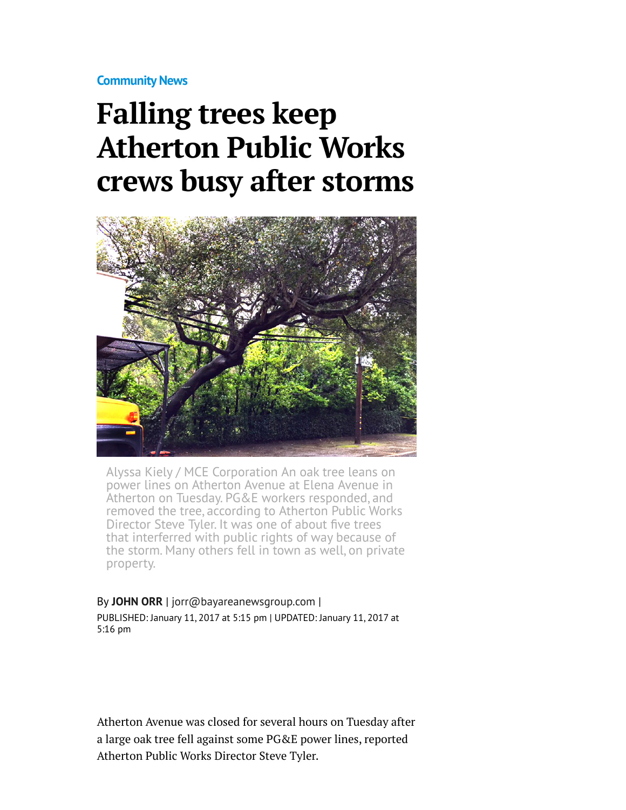**[Community News](http://www.mercurynews.com/community-news/)**

## **Falling trees keep Atherton Public Works crews busy after storms**



Alyssa Kiely / MCE Corporation An oak tree leans on power lines on Atherton Avenue at Elena Avenue in Atherton on Tuesday. PG&E workers responded, and removed the tree, according to Atherton Public Works Director Steve Tyler. It was one of about five trees that interferred with public rights of way because of the storm. Many others fell in town as well, on private property.

## By **[JOHN ORR](http://www.mercurynews.com/author/john-orr/)** | [jorr@bayareanewsgroup.com](mailto:jorr@bayareanewsgroup.com) | PUBLISHED: January 11, 2017 at 5:15 pm | UPDATED: January 11, 2017 at 5:16 pm

Atherton Avenue was closed for several hours on Tuesday after a large oak tree fell against some PG&E power lines, reported Atherton Public Works Director Steve Tyler.